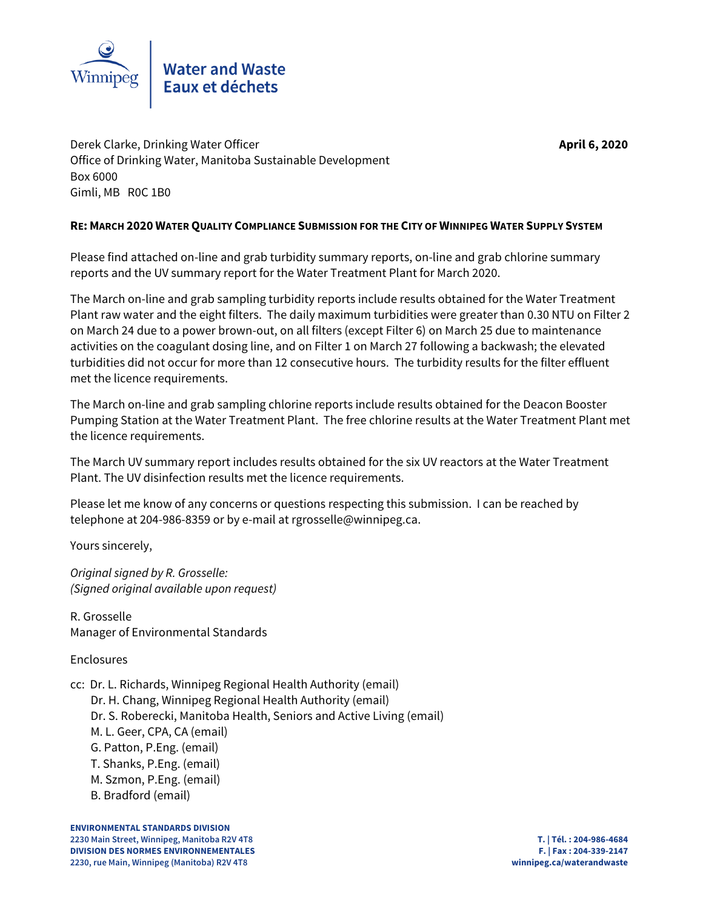

Derek Clarke, Drinking Water Officer **April 6, 2020** Office of Drinking Water, Manitoba Sustainable Development Box 6000 Gimli, MB R0C 1B0

# **RE: MARCH 2020 WATER QUALITY COMPLIANCE SUBMISSION FOR THE CITY OF WINNIPEG WATER SUPPLY SYSTEM**

Please find attached on-line and grab turbidity summary reports, on-line and grab chlorine summary reports and the UV summary report for the Water Treatment Plant for March 2020.

The March on-line and grab sampling turbidity reports include results obtained for the Water Treatment Plant raw water and the eight filters. The daily maximum turbidities were greater than 0.30 NTU on Filter 2 on March 24 due to a power brown-out, on all filters (except Filter 6) on March 25 due to maintenance activities on the coagulant dosing line, and on Filter 1 on March 27 following a backwash; the elevated turbidities did not occur for more than 12 consecutive hours. The turbidity results for the filter effluent met the licence requirements.

The March on-line and grab sampling chlorine reports include results obtained for the Deacon Booster Pumping Station at the Water Treatment Plant. The free chlorine results at the Water Treatment Plant met the licence requirements.

The March UV summary report includes results obtained for the six UV reactors at the Water Treatment Plant. The UV disinfection results met the licence requirements.

Please let me know of any concerns or questions respecting this submission. I can be reached by telephone at 204-986-8359 or by e-mail at rgrosselle@winnipeg.ca.

Yours sincerely,

Original signed by R. Grosselle: (Signed original available upon request)

R. Grosselle Manager of Environmental Standards

# Enclosures

- cc: Dr. L. Richards, Winnipeg Regional Health Authority (email)
	- Dr. H. Chang, Winnipeg Regional Health Authority (email)
	- Dr. S. Roberecki, Manitoba Health, Seniors and Active Living (email)
	- M. L. Geer, CPA, CA (email)
	- G. Patton, P.Eng. (email)
	- T. Shanks, P.Eng. (email)
	- M. Szmon, P.Eng. (email)
	- B. Bradford (email)

**ENVIRONMENTAL STANDARDS DIVISION 2230 Main Street, Winnipeg, Manitoba R2V 4T8 T. | Tél. : 204-986-4684 DIVISION DES NORMES ENVIRONNEMENTALES F. | Fax : 204-339-2147 2230, rue Main, Winnipeg (Manitoba) R2V 4T8 winnipeg.ca/waterandwaste**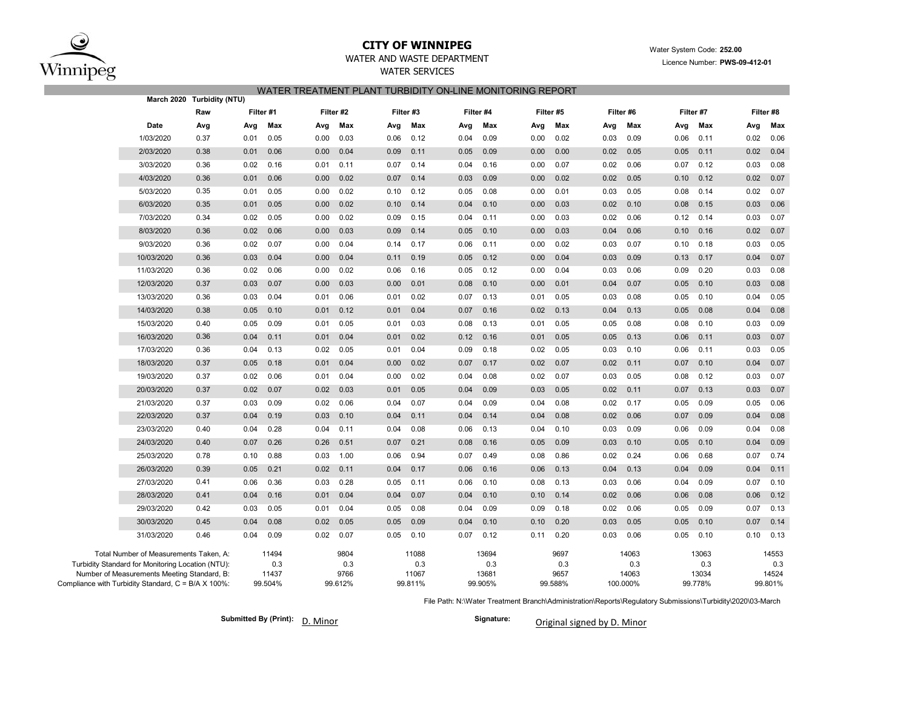

### **CITY OF WINNIPEG**WATER AND WASTE DEPARTMENT

## WATER SERVICES WATER TREATMENT PLANT TURBIDITY ON-LINE MONITORING REPORT

|                                                                                                                                                                                                   | March 2020 Turbidity (NTU) |      |                                  |           |                                |           |                                  |      |                                  |      |                                |      |                                   |           |                                  |           |                                  |
|---------------------------------------------------------------------------------------------------------------------------------------------------------------------------------------------------|----------------------------|------|----------------------------------|-----------|--------------------------------|-----------|----------------------------------|------|----------------------------------|------|--------------------------------|------|-----------------------------------|-----------|----------------------------------|-----------|----------------------------------|
|                                                                                                                                                                                                   | Raw<br>Filter #1           |      |                                  | Filter #2 |                                | Filter #3 |                                  |      | Filter #4                        |      | Filter #5                      |      | Filter #6                         | Filter #7 |                                  | Filter #8 |                                  |
| Date                                                                                                                                                                                              | Avg                        | Avg  | Max                              | Avg       | Max                            | Avg       | Max                              | Avg  | Max                              | Avg  | Max                            | Avg  | Max                               | Avg       | Max                              | Avg       | Max                              |
| 1/03/2020                                                                                                                                                                                         | 0.37                       | 0.01 | 0.05                             | 0.00      | 0.03                           | 0.06      | 0.12                             | 0.04 | 0.09                             | 0.00 | 0.02                           | 0.03 | 0.09                              | 0.06      | 0.11                             | 0.02      | 0.06                             |
| 2/03/2020                                                                                                                                                                                         | 0.38                       | 0.01 | 0.06                             | 0.00      | 0.04                           | 0.09      | 0.11                             | 0.05 | 0.09                             | 0.00 | 0.00                           | 0.02 | 0.05                              | 0.05      | 0.11                             | 0.02      | 0.04                             |
| 3/03/2020                                                                                                                                                                                         | 0.36                       | 0.02 | 0.16                             | 0.01      | 0.11                           | 0.07      | 0.14                             | 0.04 | 0.16                             | 0.00 | 0.07                           | 0.02 | 0.06                              | 0.07      | 0.12                             | 0.03      | 0.08                             |
| 4/03/2020                                                                                                                                                                                         | 0.36                       | 0.01 | 0.06                             | 0.00      | 0.02                           | 0.07      | 0.14                             | 0.03 | 0.09                             | 0.00 | 0.02                           | 0.02 | 0.05                              | 0.10      | 0.12                             | 0.02      | 0.07                             |
| 5/03/2020                                                                                                                                                                                         | 0.35                       | 0.01 | 0.05                             | 0.00      | 0.02                           | 0.10      | 0.12                             | 0.05 | 0.08                             | 0.00 | 0.01                           | 0.03 | 0.05                              | 0.08      | 0.14                             | 0.02      | 0.07                             |
| 6/03/2020                                                                                                                                                                                         | 0.35                       | 0.01 | 0.05                             | 0.00      | 0.02                           | 0.10      | 0.14                             | 0.04 | 0.10                             | 0.00 | 0.03                           | 0.02 | 0.10                              | 0.08      | 0.15                             | 0.03      | 0.06                             |
| 7/03/2020                                                                                                                                                                                         | 0.34                       | 0.02 | 0.05                             | 0.00      | 0.02                           | 0.09      | 0.15                             | 0.04 | 0.11                             | 0.00 | 0.03                           | 0.02 | 0.06                              | 0.12      | 0.14                             | 0.03      | 0.07                             |
| 8/03/2020                                                                                                                                                                                         | 0.36                       | 0.02 | 0.06                             | 0.00      | 0.03                           | 0.09      | 0.14                             | 0.05 | 0.10                             | 0.00 | 0.03                           | 0.04 | 0.06                              | 0.10      | 0.16                             | 0.02      | 0.07                             |
| 9/03/2020                                                                                                                                                                                         | 0.36                       | 0.02 | 0.07                             | 0.00      | 0.04                           | 0.14      | 0.17                             | 0.06 | 0.11                             | 0.00 | 0.02                           | 0.03 | 0.07                              | 0.10      | 0.18                             | 0.03      | 0.05                             |
| 10/03/2020                                                                                                                                                                                        | 0.36                       | 0.03 | 0.04                             | 0.00      | 0.04                           | 0.11      | 0.19                             | 0.05 | 0.12                             | 0.00 | 0.04                           | 0.03 | 0.09                              | 0.13      | 0.17                             | 0.04      | 0.07                             |
| 11/03/2020                                                                                                                                                                                        | 0.36                       | 0.02 | 0.06                             | 0.00      | 0.02                           | 0.06      | 0.16                             | 0.05 | 0.12                             | 0.00 | 0.04                           | 0.03 | 0.06                              | 0.09      | 0.20                             | 0.03      | 0.08                             |
| 12/03/2020                                                                                                                                                                                        | 0.37                       | 0.03 | 0.07                             | 0.00      | 0.03                           | 0.00      | 0.01                             | 0.08 | 0.10                             | 0.00 | 0.01                           | 0.04 | 0.07                              | 0.05      | 0.10                             | 0.03      | 0.08                             |
| 13/03/2020                                                                                                                                                                                        | 0.36                       | 0.03 | 0.04                             | 0.01      | 0.06                           | 0.01      | 0.02                             | 0.07 | 0.13                             | 0.01 | 0.05                           | 0.03 | 0.08                              | 0.05      | 0.10                             | 0.04      | 0.05                             |
| 14/03/2020                                                                                                                                                                                        | 0.38                       | 0.05 | 0.10                             | 0.01      | 0.12                           | 0.01      | 0.04                             | 0.07 | 0.16                             | 0.02 | 0.13                           | 0.04 | 0.13                              | 0.05      | 0.08                             | 0.04      | 0.08                             |
| 15/03/2020                                                                                                                                                                                        | 0.40                       | 0.05 | 0.09                             | 0.01      | 0.05                           | 0.01      | 0.03                             | 0.08 | 0.13                             | 0.01 | 0.05                           | 0.05 | 0.08                              | 0.08      | 0.10                             | 0.03      | 0.09                             |
| 16/03/2020                                                                                                                                                                                        | 0.36                       | 0.04 | 0.11                             | 0.01      | 0.04                           | 0.01      | 0.02                             | 0.12 | 0.16                             | 0.01 | 0.05                           | 0.05 | 0.13                              | 0.06      | 0.11                             | 0.03      | 0.07                             |
| 17/03/2020                                                                                                                                                                                        | 0.36                       | 0.04 | 0.13                             | 0.02      | 0.05                           | 0.01      | 0.04                             | 0.09 | 0.18                             | 0.02 | 0.05                           | 0.03 | 0.10                              | 0.06      | 0.11                             | 0.03      | 0.05                             |
| 18/03/2020                                                                                                                                                                                        | 0.37                       | 0.05 | 0.18                             | 0.01      | 0.04                           | 0.00      | 0.02                             | 0.07 | 0.17                             | 0.02 | 0.07                           | 0.02 | 0.11                              | 0.07      | 0.10                             | 0.04      | 0.07                             |
| 19/03/2020                                                                                                                                                                                        | 0.37                       | 0.02 | 0.06                             | 0.01      | 0.04                           | 0.00      | 0.02                             | 0.04 | 0.08                             | 0.02 | 0.07                           | 0.03 | 0.05                              | 0.08      | 0.12                             | 0.03      | 0.07                             |
| 20/03/2020                                                                                                                                                                                        | 0.37                       | 0.02 | 0.07                             | 0.02      | 0.03                           | 0.01      | 0.05                             | 0.04 | 0.09                             | 0.03 | 0.05                           | 0.02 | 0.11                              | 0.07      | 0.13                             | 0.03      | 0.07                             |
| 21/03/2020                                                                                                                                                                                        | 0.37                       | 0.03 | 0.09                             | 0.02      | 0.06                           | 0.04      | 0.07                             | 0.04 | 0.09                             | 0.04 | 0.08                           | 0.02 | 0.17                              | 0.05      | 0.09                             | 0.05      | 0.06                             |
| 22/03/2020                                                                                                                                                                                        | 0.37                       | 0.04 | 0.19                             | 0.03      | 0.10                           | 0.04      | 0.11                             | 0.04 | 0.14                             | 0.04 | 0.08                           | 0.02 | 0.06                              | 0.07      | 0.09                             | 0.04      | 0.08                             |
| 23/03/2020                                                                                                                                                                                        | 0.40                       | 0.04 | 0.28                             | 0.04      | 0.11                           | 0.04      | 0.08                             | 0.06 | 0.13                             | 0.04 | 0.10                           | 0.03 | 0.09                              | 0.06      | 0.09                             | 0.04      | 0.08                             |
| 24/03/2020                                                                                                                                                                                        | 0.40                       | 0.07 | 0.26                             | 0.26      | 0.51                           | 0.07      | 0.21                             | 0.08 | 0.16                             | 0.05 | 0.09                           | 0.03 | 0.10                              | 0.05      | 0.10                             | 0.04      | 0.09                             |
| 25/03/2020                                                                                                                                                                                        | 0.78                       | 0.10 | 0.88                             | 0.03      | 1.00                           | 0.06      | 0.94                             | 0.07 | 0.49                             | 0.08 | 0.86                           | 0.02 | 0.24                              | 0.06      | 0.68                             | 0.07      | 0.74                             |
| 26/03/2020                                                                                                                                                                                        | 0.39                       | 0.05 | 0.21                             | 0.02      | 0.11                           | 0.04      | 0.17                             | 0.06 | 0.16                             | 0.06 | 0.13                           | 0.04 | 0.13                              | 0.04      | 0.09                             | 0.04      | 0.11                             |
| 27/03/2020                                                                                                                                                                                        | 0.41                       | 0.06 | 0.36                             | 0.03      | 0.28                           | 0.05      | 0.11                             | 0.06 | 0.10                             | 0.08 | 0.13                           | 0.03 | 0.06                              | 0.04      | 0.09                             | 0.07      | 0.10                             |
| 28/03/2020                                                                                                                                                                                        | 0.41                       | 0.04 | 0.16                             | 0.01      | 0.04                           | 0.04      | 0.07                             | 0.04 | 0.10                             | 0.10 | 0.14                           | 0.02 | 0.06                              | 0.06      | 0.08                             | 0.06      | 0.12                             |
| 29/03/2020                                                                                                                                                                                        | 0.42                       | 0.03 | 0.05                             | 0.01      | 0.04                           | 0.05      | 0.08                             | 0.04 | 0.09                             | 0.09 | 0.18                           | 0.02 | 0.06                              | 0.05      | 0.09                             | 0.07      | 0.13                             |
| 30/03/2020                                                                                                                                                                                        | 0.45                       | 0.04 | 0.08                             | 0.02      | 0.05                           | 0.05      | 0.09                             | 0.04 | 0.10                             | 0.10 | 0.20                           | 0.03 | 0.05                              | 0.05      | 0.10                             | 0.07      | 0.14                             |
| 31/03/2020                                                                                                                                                                                        | 0.46                       | 0.04 | 0.09                             | 0.02      | 0.07                           | 0.05      | 0.10                             | 0.07 | 0.12                             | 0.11 | 0.20                           | 0.03 | 0.06                              | 0.05      | 0.10                             | 0.10      | 0.13                             |
| Total Number of Measurements Taken, A:<br>Turbidity Standard for Monitoring Location (NTU):<br>Number of Measurements Meeting Standard, B:<br>Compliance with Turbidity Standard, C = B/A X 100%: |                            |      | 11494<br>0.3<br>11437<br>99.504% |           | 9804<br>0.3<br>9766<br>99.612% |           | 11088<br>0.3<br>11067<br>99.811% |      | 13694<br>0.3<br>13681<br>99.905% |      | 9697<br>0.3<br>9657<br>99.588% |      | 14063<br>0.3<br>14063<br>100.000% |           | 13063<br>0.3<br>13034<br>99.778% |           | 14553<br>0.3<br>14524<br>99.801% |

File Path: N:\Water Treatment Branch\Administration\Reports\Regulatory Submissions\Turbidity\2020\03-March

**Submitted By (Print): Signature:** D. Minor

Original signed by D. Minor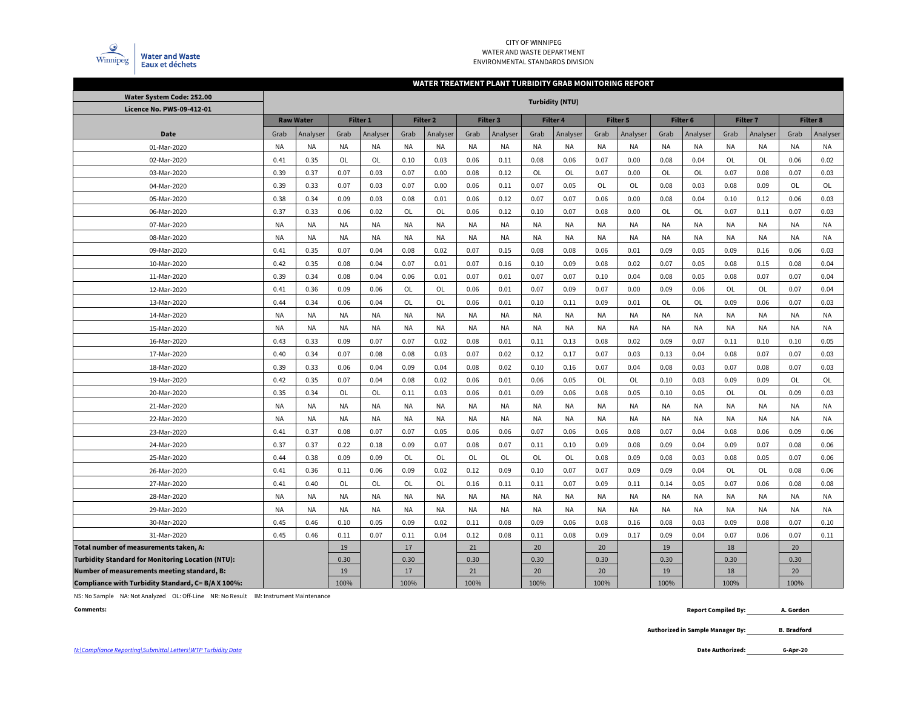

#### CITY OF WINNIPEG WATER AND WASTE DEPARTMENTENVIRONMENTAL STANDARDS DIVISION

#### **WATER TREATMENT PLANT TURBIDITY GRAB MONITORING REPORT**

| Water System Code: 252.00                                | <b>Turbidity (NTU)</b> |                  |           |                 |           |                     |           |           |           |           |           |          |           |           |           |                 |           |           |
|----------------------------------------------------------|------------------------|------------------|-----------|-----------------|-----------|---------------------|-----------|-----------|-----------|-----------|-----------|----------|-----------|-----------|-----------|-----------------|-----------|-----------|
| Licence No. PWS-09-412-01                                |                        |                  |           |                 |           |                     |           |           |           |           |           |          |           |           |           |                 |           |           |
|                                                          |                        | <b>Raw Water</b> |           | <b>Filter 1</b> |           | Filter <sub>2</sub> |           | Filter 3  |           | Filter 4  |           | Filter 5 | Filter 6  |           |           | <b>Filter 7</b> |           | Filter 8  |
| <b>Date</b>                                              | Grab                   | Analyser         | Grab      | Analyser        | Grab      | Analyser            | Grab      | Analyser  | Grab      | Analyser  | Grab      | Analyser | Grab      | Analyser  | Grab      | Analyser        | Grab      | Analyser  |
| 01-Mar-2020                                              | <b>NA</b>              | <b>NA</b>        | <b>NA</b> | NA              | <b>NA</b> | <b>NA</b>           | <b>NA</b> | <b>NA</b> | <b>NA</b> | <b>NA</b> | <b>NA</b> | NA       | NA        | <b>NA</b> | <b>NA</b> | <b>NA</b>       | <b>NA</b> | <b>NA</b> |
| 02-Mar-2020                                              | 0.41                   | 0.35             | OL        | OL              | 0.10      | 0.03                | 0.06      | 0.11      | 0.08      | 0.06      | 0.07      | 0.00     | 0.08      | 0.04      | OL        | OL              | 0.06      | 0.02      |
| 03-Mar-2020                                              | 0.39                   | 0.37             | 0.07      | 0.03            | 0.07      | 0.00                | 0.08      | 0.12      | OL        | OL        | 0.07      | 0.00     | OL        | OL        | 0.07      | 0.08            | 0.07      | 0.03      |
| 04-Mar-2020                                              | 0.39                   | 0.33             | 0.07      | 0.03            | 0.07      | 0.00                | 0.06      | 0.11      | 0.07      | 0.05      | <b>OL</b> | OL       | 0.08      | 0.03      | 0.08      | 0.09            | OL        | OL        |
| 05-Mar-2020                                              | 0.38                   | 0.34             | 0.09      | 0.03            | 0.08      | 0.01                | 0.06      | 0.12      | 0.07      | 0.07      | 0.06      | 0.00     | 0.08      | 0.04      | 0.10      | 0.12            | 0.06      | 0.03      |
| 06-Mar-2020                                              | 0.37                   | 0.33             | 0.06      | 0.02            | OL        | OL                  | 0.06      | 0.12      | 0.10      | 0.07      | 0.08      | 0.00     | OL        | <b>OL</b> | 0.07      | 0.11            | 0.07      | 0.03      |
| 07-Mar-2020                                              | <b>NA</b>              | <b>NA</b>        | NA        | NA              | <b>NA</b> | <b>NA</b>           | <b>NA</b> | <b>NA</b> | <b>NA</b> | <b>NA</b> | <b>NA</b> | NA       | NA        | <b>NA</b> | <b>NA</b> | <b>NA</b>       | <b>NA</b> | <b>NA</b> |
| 08-Mar-2020                                              | <b>NA</b>              | <b>NA</b>        | NA        | <b>NA</b>       | <b>NA</b> | <b>NA</b>           | NA        | <b>NA</b> | <b>NA</b> | <b>NA</b> | <b>NA</b> | NA       | <b>NA</b> | <b>NA</b> | <b>NA</b> | <b>NA</b>       | <b>NA</b> | <b>NA</b> |
| 09-Mar-2020                                              | 0.41                   | 0.35             | 0.07      | 0.04            | 0.08      | 0.02                | 0.07      | 0.15      | 0.08      | 0.08      | 0.06      | 0.01     | 0.09      | 0.05      | 0.09      | 0.16            | 0.06      | 0.03      |
| 10-Mar-2020                                              | 0.42                   | 0.35             | 0.08      | 0.04            | 0.07      | 0.01                | 0.07      | 0.16      | 0.10      | 0.09      | 0.08      | 0.02     | 0.07      | 0.05      | 0.08      | 0.15            | 0.08      | 0.04      |
| 11-Mar-2020                                              | 0.39                   | 0.34             | 0.08      | 0.04            | 0.06      | 0.01                | 0.07      | 0.01      | 0.07      | 0.07      | 0.10      | 0.04     | 0.08      | 0.05      | 0.08      | 0.07            | 0.07      | 0.04      |
| 12-Mar-2020                                              | 0.41                   | 0.36             | 0.09      | 0.06            | OL        | OL                  | 0.06      | 0.01      | 0.07      | 0.09      | 0.07      | 0.00     | 0.09      | 0.06      | OL        | OL              | 0.07      | 0.04      |
| 13-Mar-2020                                              | 0.44                   | 0.34             | 0.06      | 0.04            | OL        | <b>OL</b>           | 0.06      | 0.01      | 0.10      | 0.11      | 0.09      | 0.01     | OL        | OL        | 0.09      | 0.06            | 0.07      | 0.03      |
| 14-Mar-2020                                              | <b>NA</b>              | <b>NA</b>        | NA        | NA              | <b>NA</b> | NA                  | <b>NA</b> | <b>NA</b> | <b>NA</b> | <b>NA</b> | <b>NA</b> | NA       | NA        | <b>NA</b> | NA        | <b>NA</b>       | <b>NA</b> | <b>NA</b> |
| 15-Mar-2020                                              | NA                     | NA               | NA        | NA              | NA        | NA                  | NA        | NA        | <b>NA</b> | NA        | NA        | NA       | ΝA        | NA        | NA        | NA              | <b>NA</b> | NA        |
| 16-Mar-2020                                              | 0.43                   | 0.33             | 0.09      | 0.07            | 0.07      | 0.02                | 0.08      | 0.01      | 0.11      | 0.13      | 0.08      | 0.02     | 0.09      | 0.07      | 0.11      | 0.10            | 0.10      | 0.05      |
| 17-Mar-2020                                              | 0.40                   | 0.34             | 0.07      | 0.08            | 0.08      | 0.03                | 0.07      | 0.02      | 0.12      | 0.17      | 0.07      | 0.03     | 0.13      | 0.04      | 0.08      | 0.07            | 0.07      | 0.03      |
| 18-Mar-2020                                              | 0.39                   | 0.33             | 0.06      | 0.04            | 0.09      | 0.04                | 0.08      | 0.02      | 0.10      | 0.16      | 0.07      | 0.04     | 0.08      | 0.03      | 0.07      | 0.08            | 0.07      | 0.03      |
| 19-Mar-2020                                              | 0.42                   | 0.35             | 0.07      | 0.04            | 0.08      | 0.02                | 0.06      | 0.01      | 0.06      | 0.05      | OL        | OL       | 0.10      | 0.03      | 0.09      | 0.09            | OL        | OL        |
| 20-Mar-2020                                              | 0.35                   | 0.34             | OL        | OL              | 0.11      | 0.03                | 0.06      | 0.01      | 0.09      | 0.06      | 0.08      | 0.05     | 0.10      | 0.05      | OL        | OL              | 0.09      | 0.03      |
| 21-Mar-2020                                              | <b>NA</b>              | <b>NA</b>        | NA        | <b>NA</b>       | <b>NA</b> | <b>NA</b>           | <b>NA</b> | <b>NA</b> | <b>NA</b> | <b>NA</b> | <b>NA</b> | NA       | NA        | <b>NA</b> | <b>NA</b> | <b>NA</b>       | <b>NA</b> | <b>NA</b> |
| 22-Mar-2020                                              | <b>NA</b>              | <b>NA</b>        | NA        | <b>NA</b>       | <b>NA</b> | <b>NA</b>           | NA        | <b>NA</b> | <b>NA</b> | <b>NA</b> | <b>NA</b> | NA       | <b>NA</b> | <b>NA</b> | <b>NA</b> | <b>NA</b>       | <b>NA</b> | <b>NA</b> |
| 23-Mar-2020                                              | 0.41                   | 0.37             | 0.08      | 0.07            | 0.07      | 0.05                | 0.06      | 0.06      | 0.07      | 0.06      | 0.06      | 0.08     | 0.07      | 0.04      | 0.08      | 0.06            | 0.09      | 0.06      |
| 24-Mar-2020                                              | 0.37                   | 0.37             | 0.22      | 0.18            | 0.09      | 0.07                | 0.08      | 0.07      | 0.11      | 0.10      | 0.09      | 0.08     | 0.09      | 0.04      | 0.09      | 0.07            | 0.08      | 0.06      |
| 25-Mar-2020                                              | 0.44                   | 0.38             | 0.09      | 0.09            | OL        | OL                  | <b>OL</b> | OL        | OL        | OL        | 0.08      | 0.09     | 0.08      | 0.03      | 0.08      | 0.05            | 0.07      | 0.06      |
| 26-Mar-2020                                              | 0.41                   | 0.36             | 0.11      | 0.06            | 0.09      | 0.02                | 0.12      | 0.09      | 0.10      | 0.07      | 0.07      | 0.09     | 0.09      | 0.04      | OL        | OL              | 0.08      | 0.06      |
| 27-Mar-2020                                              | 0.41                   | 0.40             | OL        | OL              | OL        | OL                  | 0.16      | 0.11      | 0.11      | 0.07      | 0.09      | 0.11     | 0.14      | 0.05      | 0.07      | 0.06            | 0.08      | 0.08      |
| 28-Mar-2020                                              | <b>NA</b>              | <b>NA</b>        | <b>NA</b> | <b>NA</b>       | <b>NA</b> | <b>NA</b>           | <b>NA</b> | <b>NA</b> | <b>NA</b> | <b>NA</b> | <b>NA</b> | NA       | NA        | <b>NA</b> | <b>NA</b> | <b>NA</b>       | <b>NA</b> | <b>NA</b> |
| 29-Mar-2020                                              | <b>NA</b>              | <b>NA</b>        | NA        | <b>NA</b>       | <b>NA</b> | <b>NA</b>           | <b>NA</b> | <b>NA</b> | <b>NA</b> | <b>NA</b> | <b>NA</b> | NA       | <b>NA</b> | <b>NA</b> | <b>NA</b> | <b>NA</b>       | <b>NA</b> | <b>NA</b> |
| 30-Mar-2020                                              | 0.45                   | 0.46             | 0.10      | 0.05            | 0.09      | 0.02                | 0.11      | 0.08      | 0.09      | 0.06      | 0.08      | 0.16     | 0.08      | 0.03      | 0.09      | 0.08            | 0.07      | 0.10      |
| 31-Mar-2020                                              | 0.45                   | 0.46             | 0.11      | 0.07            | 0.11      | 0.04                | 0.12      | 0.08      | 0.11      | 0.08      | 0.09      | 0.17     | 0.09      | 0.04      | 0.07      | 0.06            | 0.07      | 0.11      |
| Total number of measurements taken, A:                   |                        |                  | 19        |                 | 17        |                     | 21        |           | 20        |           | 20        |          | 19        |           | 18        |                 | 20        |           |
| <b>Turbidity Standard for Monitoring Location (NTU):</b> |                        |                  | 0.30      |                 | 0.30      |                     | 0.30      |           | 0.30      |           | 0.30      |          | 0.30      |           | 0.30      |                 | 0.30      |           |
| Number of measurements meeting standard, B:              |                        |                  | 19        |                 | 17        |                     | 21        |           | 20        |           | 20        |          | 19        |           | 18        |                 | 20        |           |
| Compliance with Turbidity Standard, C= B/A X 100%:       |                        |                  | 100%      |                 | 100%      |                     | 100%      |           | 100%      |           | 100%      |          | 100%      |           | 100%      |                 | 100%      |           |

NS: No Sample NA: Not Analyzed OL: Off-Line NR: No Result IM: Instrument Maintenance

**Comments:**

 **Report Compiled By: A. Gordon**

> **Authorized in Sample Manager By: B. Bradford**

**6-Apr-20**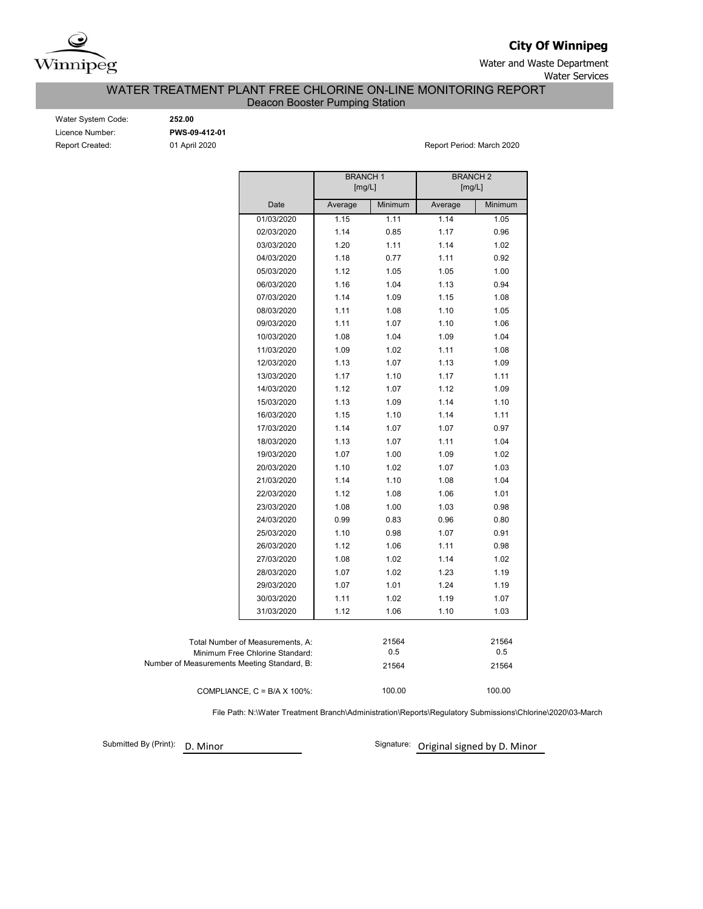

**City Of Winnipeg**

Water and Waste Department Water Services

WATER TREATMENT PLANT FREE CHLORINE ON-LINE MONITORING REPORT

Deacon Booster Pumping Station

| Water System Code:     |
|------------------------|
| Licence Number:        |
| <b>Report Created:</b> |

Water System Code: **252.00** Licence Number: **PWS-09-412-01**

01 April 2020 **Report Period: March 2020** 

|                                             |                                      | <b>BRANCH1</b><br>[mg/L] |         | <b>BRANCH2</b><br>[mg/L] |         |  |  |  |  |
|---------------------------------------------|--------------------------------------|--------------------------|---------|--------------------------|---------|--|--|--|--|
|                                             | Date                                 | Average                  | Minimum | Average                  | Minimum |  |  |  |  |
|                                             | 01/03/2020                           | 1.15                     | 1.11    | 1.14                     | 1.05    |  |  |  |  |
|                                             | 02/03/2020                           | 1.14                     | 0.85    | 1.17                     | 0.96    |  |  |  |  |
|                                             | 03/03/2020                           | 1.20                     | 1.11    | 1.14                     | 1.02    |  |  |  |  |
|                                             | 04/03/2020                           | 1.18                     | 0.77    | 1.11                     | 0.92    |  |  |  |  |
|                                             | 05/03/2020                           | 1.12                     | 1.05    | 1.05                     | 1.00    |  |  |  |  |
|                                             | 06/03/2020                           | 1.16                     | 1.04    | 1.13                     | 0.94    |  |  |  |  |
|                                             | 07/03/2020                           | 1.14                     | 1.09    | 1.15                     | 1.08    |  |  |  |  |
|                                             | 08/03/2020                           | 1.11                     | 1.08    | 1.10                     | 1.05    |  |  |  |  |
|                                             | 09/03/2020                           | 1.11                     | 1.07    | 1.10                     | 1.06    |  |  |  |  |
|                                             | 10/03/2020                           | 1.08                     | 1.04    | 1.09                     | 1.04    |  |  |  |  |
|                                             | 11/03/2020                           | 1.09                     | 1.02    | 1.11                     | 1.08    |  |  |  |  |
|                                             | 12/03/2020                           | 1.13                     | 1.07    | 1.13                     | 1.09    |  |  |  |  |
|                                             | 13/03/2020                           | 1.17                     | 1.10    | 1.17                     | 1.11    |  |  |  |  |
|                                             | 14/03/2020                           | 1.12                     | 1.07    | 1.12                     | 1.09    |  |  |  |  |
|                                             | 15/03/2020                           | 1.13                     | 1.09    | 1.14                     | 1.10    |  |  |  |  |
|                                             | 16/03/2020                           | 1.15                     | 1.10    | 1.14                     | 1.11    |  |  |  |  |
|                                             | 17/03/2020                           | 1.14                     | 1.07    | 1.07                     | 0.97    |  |  |  |  |
|                                             | 18/03/2020                           | 1.13                     | 1.07    | 1.11                     | 1.04    |  |  |  |  |
|                                             | 19/03/2020                           | 1.07                     | 1.00    | 1.09                     | 1.02    |  |  |  |  |
|                                             | 20/03/2020                           | 1.10                     | 1.02    | 1.07                     | 1.03    |  |  |  |  |
|                                             | 21/03/2020                           | 1.14                     | 1.10    | 1.08                     | 1.04    |  |  |  |  |
|                                             | 22/03/2020                           | 1.12                     | 1.08    | 1.06                     | 1.01    |  |  |  |  |
|                                             | 23/03/2020                           | 1.08                     | 1.00    | 1.03                     | 0.98    |  |  |  |  |
|                                             | 24/03/2020                           | 0.99                     | 0.83    | 0.96                     | 0.80    |  |  |  |  |
|                                             | 25/03/2020                           | 1.10                     | 0.98    | 1.07                     | 0.91    |  |  |  |  |
|                                             | 26/03/2020                           | 1.12                     | 1.06    | 1.11                     | 0.98    |  |  |  |  |
|                                             | 27/03/2020                           | 1.08                     | 1.02    | 1.14                     | 1.02    |  |  |  |  |
|                                             | 28/03/2020                           | 1.07                     | 1.02    | 1.23                     | 1.19    |  |  |  |  |
|                                             | 29/03/2020                           | 1.07                     | 1.01    | 1.24                     | 1.19    |  |  |  |  |
|                                             | 30/03/2020                           | 1.11                     | 1.02    | 1.19                     | 1.07    |  |  |  |  |
|                                             | 31/03/2020                           | 1.12                     | 1.06    | 1.10                     | 1.03    |  |  |  |  |
|                                             |                                      |                          |         |                          |         |  |  |  |  |
|                                             | Total Number of Measurements, A:     |                          | 21564   |                          | 21564   |  |  |  |  |
|                                             | Minimum Free Chlorine Standard:      |                          | 0.5     |                          | 0.5     |  |  |  |  |
| Number of Measurements Meeting Standard, B: |                                      |                          | 21564   |                          | 21564   |  |  |  |  |
|                                             | COMPLIANCE, $C = B/A \times 100\%$ : |                          | 100.00  |                          | 100.00  |  |  |  |  |

File Path: N:\Water Treatment Branch\Administration\Reports\Regulatory Submissions\Chlorine\2020\03-March

Submitted By (Print): D. Minor

Signature: Original signed by D. Minor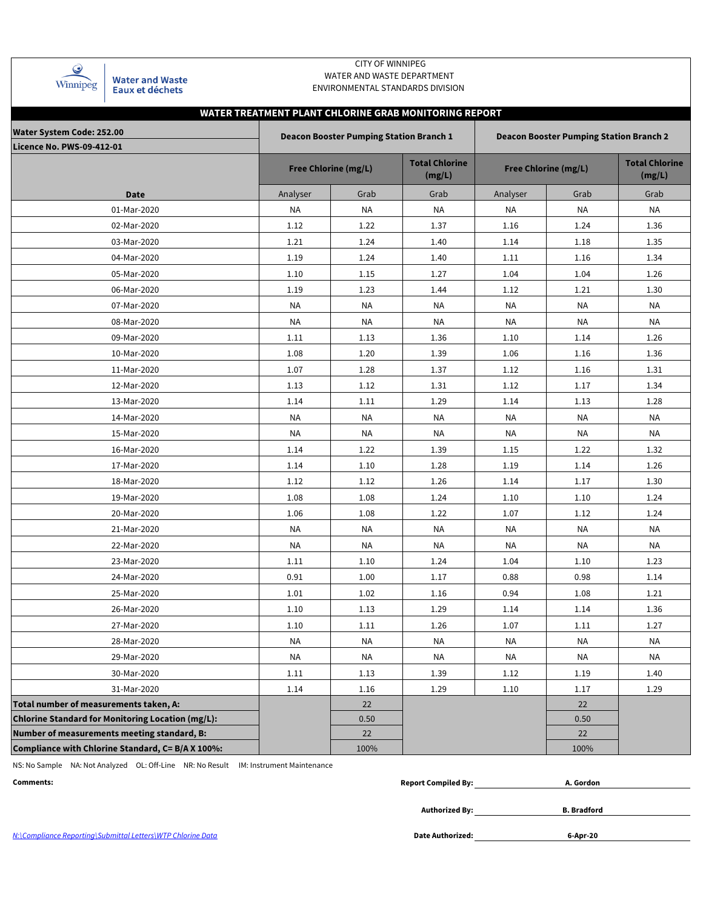| Winnipeg |
|----------|

**Water and Waste** Eaux et déchets

### CITY OF WINNIPEG WATER AND WASTE DEPARTMENT ENVIRONMENTAL STANDARDS DIVISION

# **WATER TREATMENT PLANT CHLORINE GRAB MONITORING REPORT**

| Water System Code: 252.00                                |           | <b>Deacon Booster Pumping Station Branch 1</b> |                                 | <b>Deacon Booster Pumping Station Branch 2</b> |                                 |           |  |  |  |  |  |
|----------------------------------------------------------|-----------|------------------------------------------------|---------------------------------|------------------------------------------------|---------------------------------|-----------|--|--|--|--|--|
| <b>Licence No. PWS-09-412-01</b>                         |           | <b>Free Chlorine (mg/L)</b>                    | <b>Total Chlorine</b><br>(mg/L) | <b>Free Chlorine (mg/L)</b>                    | <b>Total Chlorine</b><br>(mg/L) |           |  |  |  |  |  |
| <b>Date</b>                                              | Analyser  | Grab                                           | Grab                            | Analyser                                       | Grab                            | Grab      |  |  |  |  |  |
| 01-Mar-2020                                              | ΝA        | NA                                             | NA                              | NA                                             | NA                              | NA        |  |  |  |  |  |
| 02-Mar-2020                                              | 1.12      | 1.22                                           | 1.37                            | 1.16                                           | 1.24                            | 1.36      |  |  |  |  |  |
| 03-Mar-2020                                              | 1.21      | 1.24                                           | 1.40                            | 1.14                                           | 1.18                            | 1.35      |  |  |  |  |  |
| 04-Mar-2020                                              | 1.19      | 1.24                                           | 1.40                            | 1.11                                           | 1.16                            | 1.34      |  |  |  |  |  |
| 05-Mar-2020                                              | 1.10      | 1.15                                           | 1.27                            | 1.04                                           | 1.04                            | 1.26      |  |  |  |  |  |
| 06-Mar-2020                                              | 1.19      | 1.23                                           | 1.44                            | 1.12                                           | 1.21                            | 1.30      |  |  |  |  |  |
| 07-Mar-2020                                              | NA        | NA                                             | NA                              | NA                                             | NA                              | NA        |  |  |  |  |  |
| 08-Mar-2020                                              | <b>NA</b> | NA                                             | ΝA                              | NA                                             | <b>NA</b>                       | <b>NA</b> |  |  |  |  |  |
| 09-Mar-2020                                              | 1.11      | 1.13                                           | 1.36                            | 1.10                                           | 1.14                            | 1.26      |  |  |  |  |  |
| 10-Mar-2020                                              | 1.08      | 1.20                                           | 1.39                            | 1.06                                           | 1.16                            | 1.36      |  |  |  |  |  |
| 11-Mar-2020                                              | 1.07      | 1.28                                           | 1.37                            | 1.12                                           | 1.16                            | 1.31      |  |  |  |  |  |
| 12-Mar-2020                                              | 1.13      | 1.12                                           | 1.31                            | 1.12                                           | 1.17                            | 1.34      |  |  |  |  |  |
| 13-Mar-2020                                              | 1.14      | 1.11                                           | 1.29                            | 1.14                                           | 1.13                            | 1.28      |  |  |  |  |  |
| 14-Mar-2020                                              | NA        | NA                                             | <b>NA</b>                       | <b>NA</b>                                      | <b>NA</b>                       | NA        |  |  |  |  |  |
| 15-Mar-2020                                              | NA        | NA                                             | NA                              | NA                                             | <b>NA</b>                       | NA        |  |  |  |  |  |
| 16-Mar-2020                                              | 1.14      | 1.22                                           | 1.39                            | 1.15                                           | 1.22                            | 1.32      |  |  |  |  |  |
| 17-Mar-2020                                              | 1.14      | 1.10                                           | 1.28                            | 1.19                                           | 1.14                            | 1.26      |  |  |  |  |  |
| 18-Mar-2020                                              | 1.12      | 1.12                                           | 1.26                            | 1.14                                           | 1.17                            | 1.30      |  |  |  |  |  |
| 19-Mar-2020                                              | 1.08      | 1.08                                           | 1.24                            | 1.10                                           | 1.10                            | 1.24      |  |  |  |  |  |
| 20-Mar-2020                                              | 1.06      | 1.08                                           | 1.22                            | 1.07                                           | 1.12                            | 1.24      |  |  |  |  |  |
| 21-Mar-2020                                              | <b>NA</b> | <b>NA</b>                                      | <b>NA</b>                       | NA                                             | NA                              | <b>NA</b> |  |  |  |  |  |
| 22-Mar-2020                                              | NA        | ΝA                                             | ΝA                              | NA                                             | NA                              | NA        |  |  |  |  |  |
| 23-Mar-2020                                              | 1.11      | 1.10                                           | 1.24                            | 1.04                                           | 1.10                            | 1.23      |  |  |  |  |  |
| 24-Mar-2020                                              | 0.91      | 1.00                                           | 1.17                            | 0.88                                           | 0.98                            | 1.14      |  |  |  |  |  |
| 25-Mar-2020                                              | 1.01      | 1.02                                           | 1.16                            | 0.94                                           | 1.08                            | 1.21      |  |  |  |  |  |
| 26-Mar-2020                                              | 1.10      | 1.13                                           | 1.29                            | 1.14                                           | 1.14                            | 1.36      |  |  |  |  |  |
| 27-Mar-2020                                              | 1.10      | 1.11                                           | 1.26                            | 1.07                                           | 1.11                            | 1.27      |  |  |  |  |  |
| 28-Mar-2020                                              | <b>NA</b> | NA                                             | NA                              | <b>NA</b>                                      | NA                              | <b>NA</b> |  |  |  |  |  |
| 29-Mar-2020                                              | <b>NA</b> | <b>NA</b>                                      | <b>NA</b>                       | <b>NA</b>                                      | <b>NA</b>                       | <b>NA</b> |  |  |  |  |  |
| 30-Mar-2020                                              | 1.11      | 1.13                                           | 1.39                            | 1.12                                           | 1.19                            | 1.40      |  |  |  |  |  |
| 31-Mar-2020                                              | 1.14      | 1.16                                           | 1.29                            | 1.10                                           | 1.17                            | 1.29      |  |  |  |  |  |
| Total number of measurements taken, A:                   |           | 22                                             |                                 |                                                | 22                              |           |  |  |  |  |  |
| <b>Chlorine Standard for Monitoring Location (mg/L):</b> |           | 0.50                                           |                                 |                                                | 0.50                            |           |  |  |  |  |  |
| Number of measurements meeting standard, B:              |           | 22                                             |                                 |                                                | 22                              |           |  |  |  |  |  |
| Compliance with Chlorine Standard, C= B/A X 100%:        |           | 100%                                           |                                 |                                                | 100%                            |           |  |  |  |  |  |

NS: No Sample NA: Not Analyzed OL: Off-Line NR: No Result IM: Instrument Maintenance

| Comments: | <b>Report Compiled By:</b> | A. Gordon |
|-----------|----------------------------|-----------|
|           |                            |           |

**Authorized By:**

**B. Bradford**

N:\Compliance Reporting\Submittal Letters\WTP Chlorine Data **Date Authorized:**

**6-Apr-20**